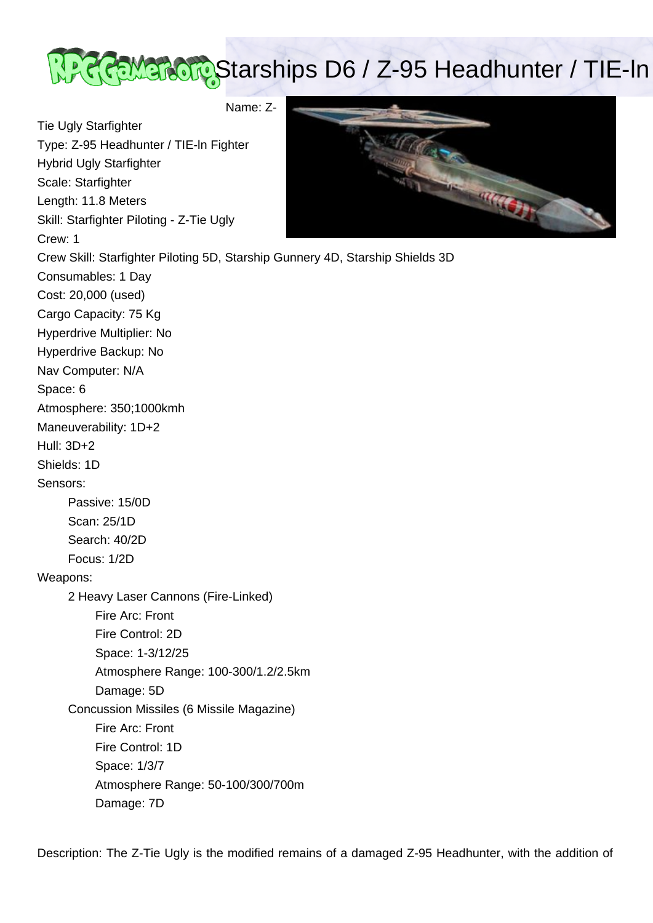

Name: Z-

Tie Ugly Starfighter Type: Z-95 Headhunter / TIE-ln Fighter

Hybrid Ugly Starfighter

Scale: Starfighter

Length: 11.8 Meters

Skill: Starfighter Piloting - Z-Tie Ugly

Crew: 1



attender

Description: The Z-Tie Ugly is the modified remains of a damaged Z-95 Headhunter, with the addition of